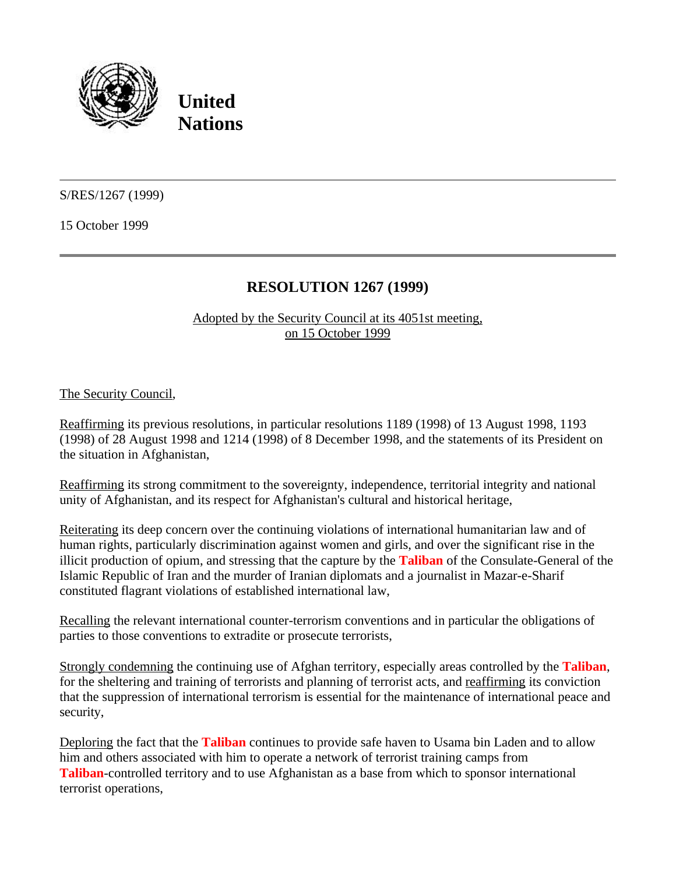

**United Nations**

S/RES/1267 (1999)

15 October 1999

## **RESOLUTION 1267 (1999)**

Adopted by the Security Council at its 4051st meeting, on 15 October 1999

The Security Council,

Reaffirming its previous resolutions, in particular resolutions 1189 (1998) of 13 August 1998, 1193 (1998) of 28 August 1998 and 1214 (1998) of 8 December 1998, and the statements of its President on the situation in Afghanistan,

Reaffirming its strong commitment to the sovereignty, independence, territorial integrity and national unity of Afghanistan, and its respect for Afghanistan's cultural and historical heritage,

Reiterating its deep concern over the continuing violations of international humanitarian law and of human rights, particularly discrimination against women and girls, and over the significant rise in the illicit production of opium, and stressing that the capture by the **Taliban** of the Consulate-General of the Islamic Republic of Iran and the murder of Iranian diplomats and a journalist in Mazar-e-Sharif constituted flagrant violations of established international law,

Recalling the relevant international counter-terrorism conventions and in particular the obligations of parties to those conventions to extradite or prosecute terrorists,

Strongly condemning the continuing use of Afghan territory, especially areas controlled by the **Taliban**, for the sheltering and training of terrorists and planning of terrorist acts, and reaffirming its conviction that the suppression of international terrorism is essential for the maintenance of international peace and security,

Deploring the fact that the **Taliban** continues to provide safe haven to Usama bin Laden and to allow him and others associated with him to operate a network of terrorist training camps from **Taliban**-controlled territory and to use Afghanistan as a base from which to sponsor international terrorist operations,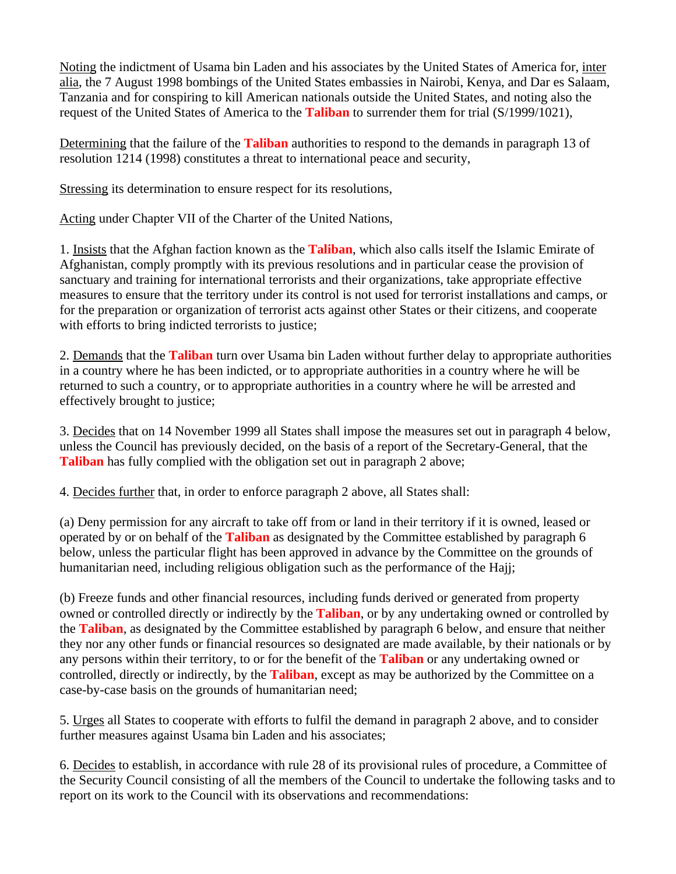Noting the indictment of Usama bin Laden and his associates by the United States of America for, inter alia, the 7 August 1998 bombings of the United States embassies in Nairobi, Kenya, and Dar es Salaam, Tanzania and for conspiring to kill American nationals outside the United States, and noting also the request of the United States of America to the **Taliban** to surrender them for trial (S/1999/1021),

Determining that the failure of the **Taliban** authorities to respond to the demands in paragraph 13 of resolution 1214 (1998) constitutes a threat to international peace and security,

Stressing its determination to ensure respect for its resolutions,

Acting under Chapter VII of the Charter of the United Nations,

1. Insists that the Afghan faction known as the **Taliban**, which also calls itself the Islamic Emirate of Afghanistan, comply promptly with its previous resolutions and in particular cease the provision of sanctuary and training for international terrorists and their organizations, take appropriate effective measures to ensure that the territory under its control is not used for terrorist installations and camps, or for the preparation or organization of terrorist acts against other States or their citizens, and cooperate with efforts to bring indicted terrorists to justice;

2. Demands that the **Taliban** turn over Usama bin Laden without further delay to appropriate authorities in a country where he has been indicted, or to appropriate authorities in a country where he will be returned to such a country, or to appropriate authorities in a country where he will be arrested and effectively brought to justice;

3. Decides that on 14 November 1999 all States shall impose the measures set out in paragraph 4 below, unless the Council has previously decided, on the basis of a report of the Secretary-General, that the **Taliban** has fully complied with the obligation set out in paragraph 2 above;

4. Decides further that, in order to enforce paragraph 2 above, all States shall:

(a) Deny permission for any aircraft to take off from or land in their territory if it is owned, leased or operated by or on behalf of the **Taliban** as designated by the Committee established by paragraph 6 below, unless the particular flight has been approved in advance by the Committee on the grounds of humanitarian need, including religious obligation such as the performance of the Hajj;

(b) Freeze funds and other financial resources, including funds derived or generated from property owned or controlled directly or indirectly by the **Taliban**, or by any undertaking owned or controlled by the **Taliban**, as designated by the Committee established by paragraph 6 below, and ensure that neither they nor any other funds or financial resources so designated are made available, by their nationals or by any persons within their territory, to or for the benefit of the **Taliban** or any undertaking owned or controlled, directly or indirectly, by the **Taliban**, except as may be authorized by the Committee on a case-by-case basis on the grounds of humanitarian need;

5. Urges all States to cooperate with efforts to fulfil the demand in paragraph 2 above, and to consider further measures against Usama bin Laden and his associates;

6. Decides to establish, in accordance with rule 28 of its provisional rules of procedure, a Committee of the Security Council consisting of all the members of the Council to undertake the following tasks and to report on its work to the Council with its observations and recommendations: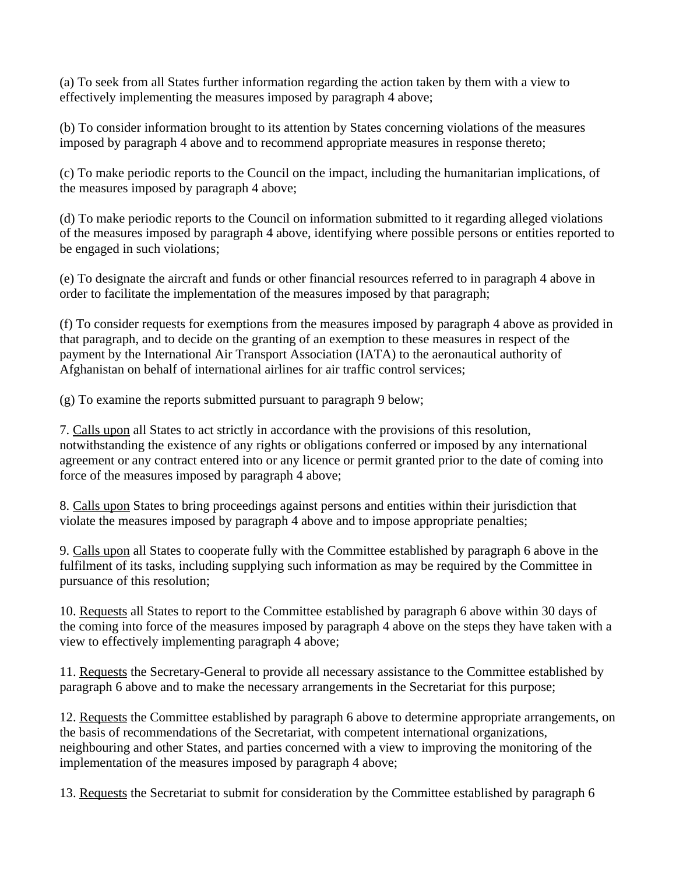(a) To seek from all States further information regarding the action taken by them with a view to effectively implementing the measures imposed by paragraph 4 above;

(b) To consider information brought to its attention by States concerning violations of the measures imposed by paragraph 4 above and to recommend appropriate measures in response thereto;

(c) To make periodic reports to the Council on the impact, including the humanitarian implications, of the measures imposed by paragraph 4 above;

(d) To make periodic reports to the Council on information submitted to it regarding alleged violations of the measures imposed by paragraph 4 above, identifying where possible persons or entities reported to be engaged in such violations;

(e) To designate the aircraft and funds or other financial resources referred to in paragraph 4 above in order to facilitate the implementation of the measures imposed by that paragraph;

(f) To consider requests for exemptions from the measures imposed by paragraph 4 above as provided in that paragraph, and to decide on the granting of an exemption to these measures in respect of the payment by the International Air Transport Association (IATA) to the aeronautical authority of Afghanistan on behalf of international airlines for air traffic control services;

(g) To examine the reports submitted pursuant to paragraph 9 below;

7. Calls upon all States to act strictly in accordance with the provisions of this resolution, notwithstanding the existence of any rights or obligations conferred or imposed by any international agreement or any contract entered into or any licence or permit granted prior to the date of coming into force of the measures imposed by paragraph 4 above;

8. Calls upon States to bring proceedings against persons and entities within their jurisdiction that violate the measures imposed by paragraph 4 above and to impose appropriate penalties;

9. Calls upon all States to cooperate fully with the Committee established by paragraph 6 above in the fulfilment of its tasks, including supplying such information as may be required by the Committee in pursuance of this resolution;

10. Requests all States to report to the Committee established by paragraph 6 above within 30 days of the coming into force of the measures imposed by paragraph 4 above on the steps they have taken with a view to effectively implementing paragraph 4 above;

11. Requests the Secretary-General to provide all necessary assistance to the Committee established by paragraph 6 above and to make the necessary arrangements in the Secretariat for this purpose;

12. Requests the Committee established by paragraph 6 above to determine appropriate arrangements, on the basis of recommendations of the Secretariat, with competent international organizations, neighbouring and other States, and parties concerned with a view to improving the monitoring of the implementation of the measures imposed by paragraph 4 above;

13. Requests the Secretariat to submit for consideration by the Committee established by paragraph 6